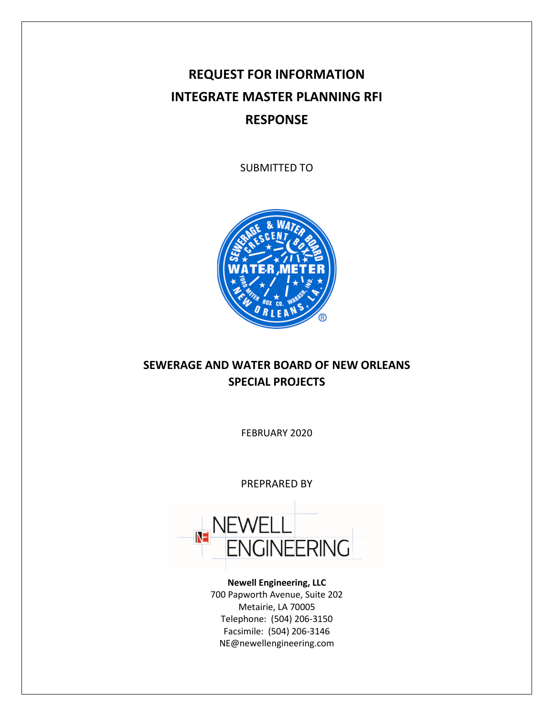# **REQUEST FOR INFORMATION INTEGRATE MASTER PLANNING RFI RESPONSE**

SUBMITTED TO



## **SEWERAGE AND WATER BOARD OF NEW ORLEANS SPECIAL PROJECTS**

FEBRUARY 2020

PREPRARED BY



**Newell Engineering, LLC** 700 Papworth Avenue, Suite 202 Metairie, LA 70005 Telephone: (504) 206-3150 Facsimile: (504) 206-3146 NE@newellengineering.com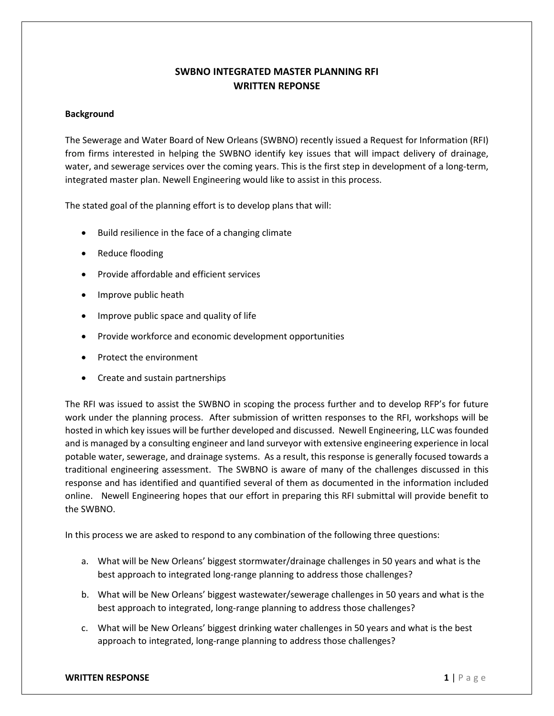### **SWBNO INTEGRATED MASTER PLANNING RFI WRITTEN REPONSE**

### **Background**

The Sewerage and Water Board of New Orleans (SWBNO) recently issued a Request for Information (RFI) from firms interested in helping the SWBNO identify key issues that will impact delivery of drainage, water, and sewerage services over the coming years. This is the first step in development of a long-term, integrated master plan. Newell Engineering would like to assist in this process.

The stated goal of the planning effort is to develop plans that will:

- Build resilience in the face of a changing climate
- Reduce flooding
- Provide affordable and efficient services
- Improve public heath
- Improve public space and quality of life
- Provide workforce and economic development opportunities
- Protect the environment
- Create and sustain partnerships

The RFI was issued to assist the SWBNO in scoping the process further and to develop RFP's for future work under the planning process. After submission of written responses to the RFI, workshops will be hosted in which key issues will be further developed and discussed. Newell Engineering, LLC was founded and is managed by a consulting engineer and land surveyor with extensive engineering experience in local potable water, sewerage, and drainage systems. As a result, this response is generally focused towards a traditional engineering assessment. The SWBNO is aware of many of the challenges discussed in this response and has identified and quantified several of them as documented in the information included online. Newell Engineering hopes that our effort in preparing this RFI submittal will provide benefit to the SWBNO.

In this process we are asked to respond to any combination of the following three questions:

- a. What will be New Orleans' biggest stormwater/drainage challenges in 50 years and what is the best approach to integrated long-range planning to address those challenges?
- b. What will be New Orleans' biggest wastewater/sewerage challenges in 50 years and what is the best approach to integrated, long-range planning to address those challenges?
- c. What will be New Orleans' biggest drinking water challenges in 50 years and what is the best approach to integrated, long-range planning to address those challenges?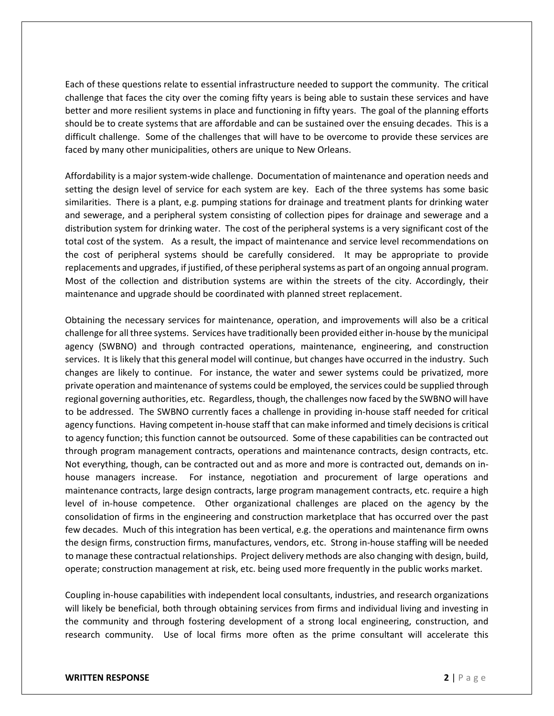Each of these questions relate to essential infrastructure needed to support the community. The critical challenge that faces the city over the coming fifty years is being able to sustain these services and have better and more resilient systems in place and functioning in fifty years. The goal of the planning efforts should be to create systems that are affordable and can be sustained over the ensuing decades. This is a difficult challenge. Some of the challenges that will have to be overcome to provide these services are faced by many other municipalities, others are unique to New Orleans.

Affordability is a major system-wide challenge. Documentation of maintenance and operation needs and setting the design level of service for each system are key. Each of the three systems has some basic similarities. There is a plant, e.g. pumping stations for drainage and treatment plants for drinking water and sewerage, and a peripheral system consisting of collection pipes for drainage and sewerage and a distribution system for drinking water. The cost of the peripheral systems is a very significant cost of the total cost of the system. As a result, the impact of maintenance and service level recommendations on the cost of peripheral systems should be carefully considered. It may be appropriate to provide replacements and upgrades, if justified, of these peripheral systems as part of an ongoing annual program. Most of the collection and distribution systems are within the streets of the city. Accordingly, their maintenance and upgrade should be coordinated with planned street replacement.

Obtaining the necessary services for maintenance, operation, and improvements will also be a critical challenge for all three systems. Services have traditionally been provided either in-house by the municipal agency (SWBNO) and through contracted operations, maintenance, engineering, and construction services. It is likely that this general model will continue, but changes have occurred in the industry. Such changes are likely to continue. For instance, the water and sewer systems could be privatized, more private operation and maintenance of systems could be employed, the services could be supplied through regional governing authorities, etc. Regardless, though, the challenges now faced by the SWBNO will have to be addressed. The SWBNO currently faces a challenge in providing in-house staff needed for critical agency functions. Having competent in-house staff that can make informed and timely decisions is critical to agency function; this function cannot be outsourced. Some of these capabilities can be contracted out through program management contracts, operations and maintenance contracts, design contracts, etc. Not everything, though, can be contracted out and as more and more is contracted out, demands on inhouse managers increase. For instance, negotiation and procurement of large operations and maintenance contracts, large design contracts, large program management contracts, etc. require a high level of in-house competence. Other organizational challenges are placed on the agency by the consolidation of firms in the engineering and construction marketplace that has occurred over the past few decades. Much of this integration has been vertical, e.g. the operations and maintenance firm owns the design firms, construction firms, manufactures, vendors, etc. Strong in-house staffing will be needed to manage these contractual relationships. Project delivery methods are also changing with design, build, operate; construction management at risk, etc. being used more frequently in the public works market.

Coupling in-house capabilities with independent local consultants, industries, and research organizations will likely be beneficial, both through obtaining services from firms and individual living and investing in the community and through fostering development of a strong local engineering, construction, and research community. Use of local firms more often as the prime consultant will accelerate this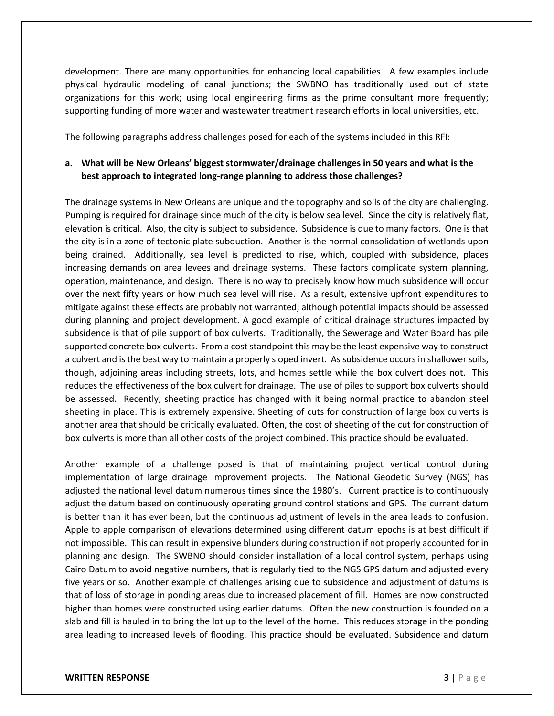development. There are many opportunities for enhancing local capabilities. A few examples include physical hydraulic modeling of canal junctions; the SWBNO has traditionally used out of state organizations for this work; using local engineering firms as the prime consultant more frequently; supporting funding of more water and wastewater treatment research efforts in local universities, etc.

The following paragraphs address challenges posed for each of the systems included in this RFI:

### **a. What will be New Orleans' biggest stormwater/drainage challenges in 50 years and what is the best approach to integrated long-range planning to address those challenges?**

The drainage systems in New Orleans are unique and the topography and soils of the city are challenging. Pumping is required for drainage since much of the city is below sea level. Since the city is relatively flat, elevation is critical. Also, the city is subject to subsidence. Subsidence is due to many factors. One is that the city is in a zone of tectonic plate subduction. Another is the normal consolidation of wetlands upon being drained. Additionally, sea level is predicted to rise, which, coupled with subsidence, places increasing demands on area levees and drainage systems. These factors complicate system planning, operation, maintenance, and design. There is no way to precisely know how much subsidence will occur over the next fifty years or how much sea level will rise. As a result, extensive upfront expenditures to mitigate against these effects are probably not warranted; although potential impacts should be assessed during planning and project development. A good example of critical drainage structures impacted by subsidence is that of pile support of box culverts. Traditionally, the Sewerage and Water Board has pile supported concrete box culverts. From a cost standpoint this may be the least expensive way to construct a culvert and is the best way to maintain a properly sloped invert. As subsidence occurs in shallower soils, though, adjoining areas including streets, lots, and homes settle while the box culvert does not. This reduces the effectiveness of the box culvert for drainage. The use of piles to support box culverts should be assessed. Recently, sheeting practice has changed with it being normal practice to abandon steel sheeting in place. This is extremely expensive. Sheeting of cuts for construction of large box culverts is another area that should be critically evaluated. Often, the cost of sheeting of the cut for construction of box culverts is more than all other costs of the project combined. This practice should be evaluated.

Another example of a challenge posed is that of maintaining project vertical control during implementation of large drainage improvement projects. The National Geodetic Survey (NGS) has adjusted the national level datum numerous times since the 1980's. Current practice is to continuously adjust the datum based on continuously operating ground control stations and GPS. The current datum is better than it has ever been, but the continuous adjustment of levels in the area leads to confusion. Apple to apple comparison of elevations determined using different datum epochs is at best difficult if not impossible. This can result in expensive blunders during construction if not properly accounted for in planning and design. The SWBNO should consider installation of a local control system, perhaps using Cairo Datum to avoid negative numbers, that is regularly tied to the NGS GPS datum and adjusted every five years or so. Another example of challenges arising due to subsidence and adjustment of datums is that of loss of storage in ponding areas due to increased placement of fill. Homes are now constructed higher than homes were constructed using earlier datums. Often the new construction is founded on a slab and fill is hauled in to bring the lot up to the level of the home. This reduces storage in the ponding area leading to increased levels of flooding. This practice should be evaluated. Subsidence and datum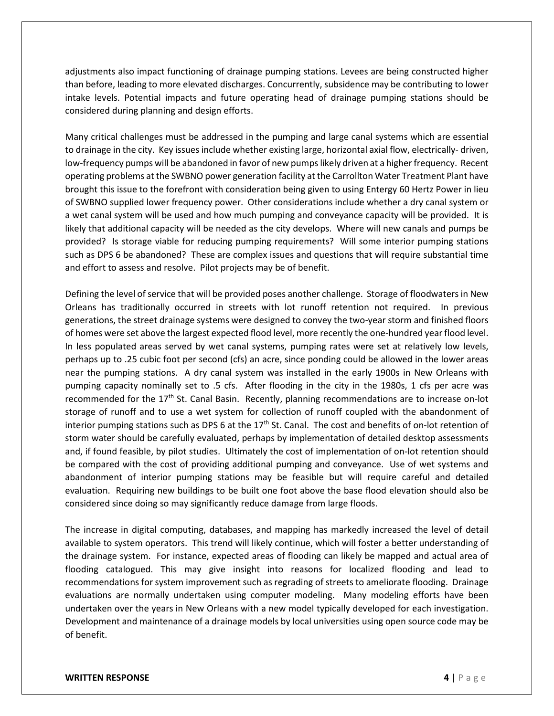adjustments also impact functioning of drainage pumping stations. Levees are being constructed higher than before, leading to more elevated discharges. Concurrently, subsidence may be contributing to lower intake levels. Potential impacts and future operating head of drainage pumping stations should be considered during planning and design efforts.

Many critical challenges must be addressed in the pumping and large canal systems which are essential to drainage in the city. Key issues include whether existing large, horizontal axial flow, electrically- driven, low-frequency pumps will be abandoned in favor of new pumps likely driven at a higher frequency. Recent operating problems at the SWBNO power generation facility at the Carrollton Water Treatment Plant have brought this issue to the forefront with consideration being given to using Entergy 60 Hertz Power in lieu of SWBNO supplied lower frequency power. Other considerations include whether a dry canal system or a wet canal system will be used and how much pumping and conveyance capacity will be provided. It is likely that additional capacity will be needed as the city develops. Where will new canals and pumps be provided? Is storage viable for reducing pumping requirements? Will some interior pumping stations such as DPS 6 be abandoned? These are complex issues and questions that will require substantial time and effort to assess and resolve. Pilot projects may be of benefit.

Defining the level of service that will be provided poses another challenge. Storage of floodwaters in New Orleans has traditionally occurred in streets with lot runoff retention not required. In previous generations, the street drainage systems were designed to convey the two-year storm and finished floors of homes were set above the largest expected flood level, more recently the one-hundred year flood level. In less populated areas served by wet canal systems, pumping rates were set at relatively low levels, perhaps up to .25 cubic foot per second (cfs) an acre, since ponding could be allowed in the lower areas near the pumping stations. A dry canal system was installed in the early 1900s in New Orleans with pumping capacity nominally set to .5 cfs. After flooding in the city in the 1980s, 1 cfs per acre was recommended for the 17<sup>th</sup> St. Canal Basin. Recently, planning recommendations are to increase on-lot storage of runoff and to use a wet system for collection of runoff coupled with the abandonment of interior pumping stations such as DPS 6 at the 17<sup>th</sup> St. Canal. The cost and benefits of on-lot retention of storm water should be carefully evaluated, perhaps by implementation of detailed desktop assessments and, if found feasible, by pilot studies. Ultimately the cost of implementation of on-lot retention should be compared with the cost of providing additional pumping and conveyance. Use of wet systems and abandonment of interior pumping stations may be feasible but will require careful and detailed evaluation. Requiring new buildings to be built one foot above the base flood elevation should also be considered since doing so may significantly reduce damage from large floods.

The increase in digital computing, databases, and mapping has markedly increased the level of detail available to system operators. This trend will likely continue, which will foster a better understanding of the drainage system. For instance, expected areas of flooding can likely be mapped and actual area of flooding catalogued. This may give insight into reasons for localized flooding and lead to recommendations for system improvement such as regrading of streets to ameliorate flooding. Drainage evaluations are normally undertaken using computer modeling. Many modeling efforts have been undertaken over the years in New Orleans with a new model typically developed for each investigation. Development and maintenance of a drainage models by local universities using open source code may be of benefit.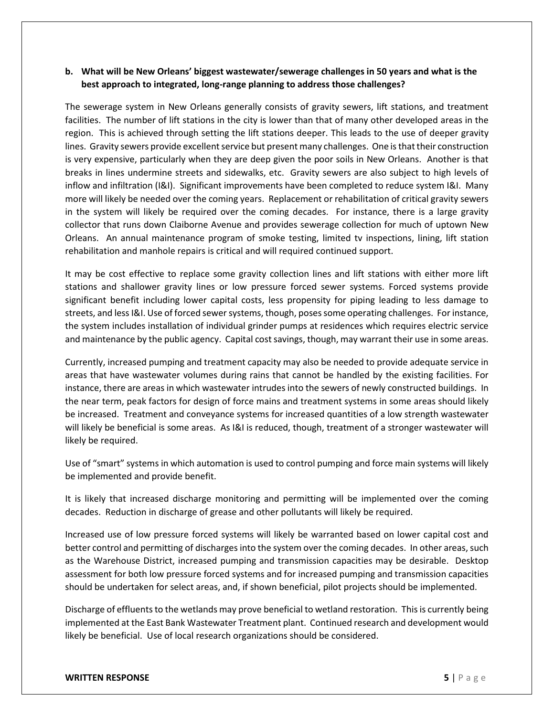### **b. What will be New Orleans' biggest wastewater/sewerage challenges in 50 years and what is the best approach to integrated, long-range planning to address those challenges?**

The sewerage system in New Orleans generally consists of gravity sewers, lift stations, and treatment facilities. The number of lift stations in the city is lower than that of many other developed areas in the region. This is achieved through setting the lift stations deeper. This leads to the use of deeper gravity lines. Gravity sewers provide excellent service but present many challenges. One is that their construction is very expensive, particularly when they are deep given the poor soils in New Orleans. Another is that breaks in lines undermine streets and sidewalks, etc. Gravity sewers are also subject to high levels of inflow and infiltration (I&I). Significant improvements have been completed to reduce system I&I. Many more will likely be needed over the coming years. Replacement or rehabilitation of critical gravity sewers in the system will likely be required over the coming decades. For instance, there is a large gravity collector that runs down Claiborne Avenue and provides sewerage collection for much of uptown New Orleans. An annual maintenance program of smoke testing, limited tv inspections, lining, lift station rehabilitation and manhole repairs is critical and will required continued support.

It may be cost effective to replace some gravity collection lines and lift stations with either more lift stations and shallower gravity lines or low pressure forced sewer systems. Forced systems provide significant benefit including lower capital costs, less propensity for piping leading to less damage to streets, and less I&I. Use of forced sewer systems, though, posessome operating challenges. For instance, the system includes installation of individual grinder pumps at residences which requires electric service and maintenance by the public agency. Capital cost savings, though, may warrant their use in some areas.

Currently, increased pumping and treatment capacity may also be needed to provide adequate service in areas that have wastewater volumes during rains that cannot be handled by the existing facilities. For instance, there are areas in which wastewater intrudes into the sewers of newly constructed buildings. In the near term, peak factors for design of force mains and treatment systems in some areas should likely be increased. Treatment and conveyance systems for increased quantities of a low strength wastewater will likely be beneficial is some areas. As I&I is reduced, though, treatment of a stronger wastewater will likely be required.

Use of "smart" systems in which automation is used to control pumping and force main systems will likely be implemented and provide benefit.

It is likely that increased discharge monitoring and permitting will be implemented over the coming decades. Reduction in discharge of grease and other pollutants will likely be required.

Increased use of low pressure forced systems will likely be warranted based on lower capital cost and better control and permitting of discharges into the system over the coming decades. In other areas, such as the Warehouse District, increased pumping and transmission capacities may be desirable. Desktop assessment for both low pressure forced systems and for increased pumping and transmission capacities should be undertaken for select areas, and, if shown beneficial, pilot projects should be implemented.

Discharge of effluents to the wetlands may prove beneficial to wetland restoration. This is currently being implemented at the East Bank Wastewater Treatment plant. Continued research and development would likely be beneficial. Use of local research organizations should be considered.

#### **WRITTEN RESPONSE 5** | Page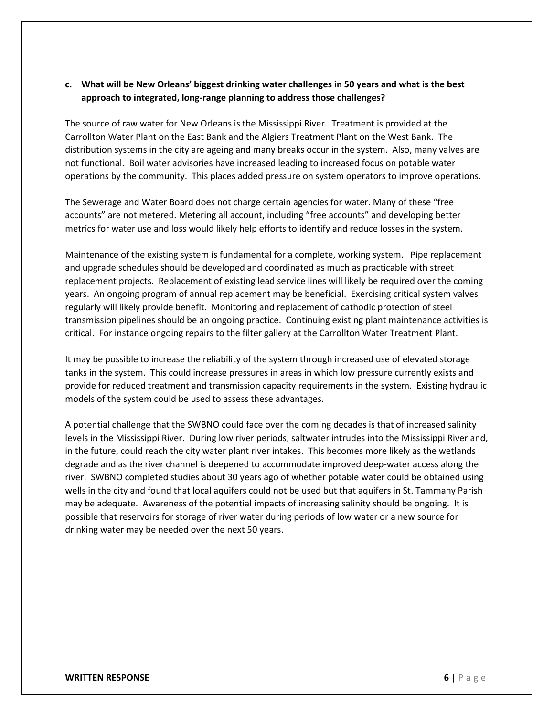### **c. What will be New Orleans' biggest drinking water challenges in 50 years and what is the best approach to integrated, long-range planning to address those challenges?**

The source of raw water for New Orleans is the Mississippi River. Treatment is provided at the Carrollton Water Plant on the East Bank and the Algiers Treatment Plant on the West Bank. The distribution systems in the city are ageing and many breaks occur in the system. Also, many valves are not functional. Boil water advisories have increased leading to increased focus on potable water operations by the community. This places added pressure on system operators to improve operations.

The Sewerage and Water Board does not charge certain agencies for water. Many of these "free accounts" are not metered. Metering all account, including "free accounts" and developing better metrics for water use and loss would likely help efforts to identify and reduce losses in the system.

Maintenance of the existing system is fundamental for a complete, working system. Pipe replacement and upgrade schedules should be developed and coordinated as much as practicable with street replacement projects. Replacement of existing lead service lines will likely be required over the coming years. An ongoing program of annual replacement may be beneficial. Exercising critical system valves regularly will likely provide benefit. Monitoring and replacement of cathodic protection of steel transmission pipelines should be an ongoing practice. Continuing existing plant maintenance activities is critical. For instance ongoing repairs to the filter gallery at the Carrollton Water Treatment Plant.

It may be possible to increase the reliability of the system through increased use of elevated storage tanks in the system. This could increase pressures in areas in which low pressure currently exists and provide for reduced treatment and transmission capacity requirements in the system. Existing hydraulic models of the system could be used to assess these advantages.

A potential challenge that the SWBNO could face over the coming decades is that of increased salinity levels in the Mississippi River. During low river periods, saltwater intrudes into the Mississippi River and, in the future, could reach the city water plant river intakes. This becomes more likely as the wetlands degrade and as the river channel is deepened to accommodate improved deep-water access along the river. SWBNO completed studies about 30 years ago of whether potable water could be obtained using wells in the city and found that local aquifers could not be used but that aquifers in St. Tammany Parish may be adequate. Awareness of the potential impacts of increasing salinity should be ongoing. It is possible that reservoirs for storage of river water during periods of low water or a new source for drinking water may be needed over the next 50 years.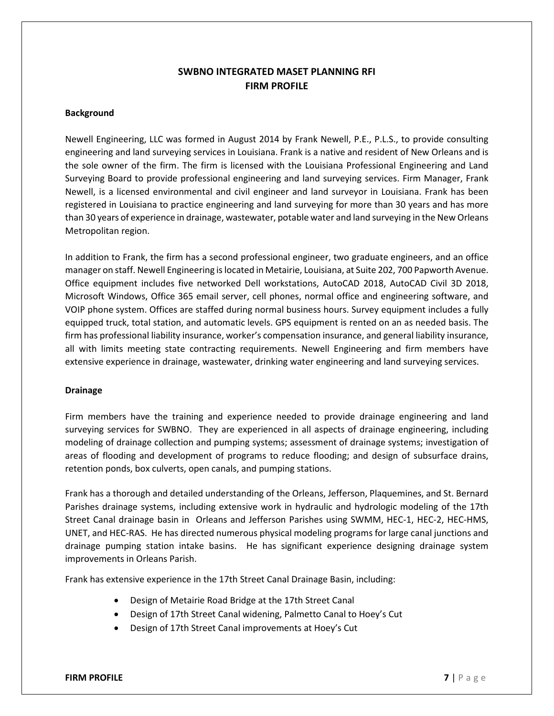### **SWBNO INTEGRATED MASET PLANNING RFI FIRM PROFILE**

### **Background**

Newell Engineering, LLC was formed in August 2014 by Frank Newell, P.E., P.L.S., to provide consulting engineering and land surveying services in Louisiana. Frank is a native and resident of New Orleans and is the sole owner of the firm. The firm is licensed with the Louisiana Professional Engineering and Land Surveying Board to provide professional engineering and land surveying services. Firm Manager, Frank Newell, is a licensed environmental and civil engineer and land surveyor in Louisiana. Frank has been registered in Louisiana to practice engineering and land surveying for more than 30 years and has more than 30 years of experience in drainage, wastewater, potable water and land surveying in the New Orleans Metropolitan region.

In addition to Frank, the firm has a second professional engineer, two graduate engineers, and an office manager on staff. Newell Engineering is located in Metairie, Louisiana, at Suite 202, 700 Papworth Avenue. Office equipment includes five networked Dell workstations, AutoCAD 2018, AutoCAD Civil 3D 2018, Microsoft Windows, Office 365 email server, cell phones, normal office and engineering software, and VOIP phone system. Offices are staffed during normal business hours. Survey equipment includes a fully equipped truck, total station, and automatic levels. GPS equipment is rented on an as needed basis. The firm has professional liability insurance, worker's compensation insurance, and general liability insurance, all with limits meeting state contracting requirements. Newell Engineering and firm members have extensive experience in drainage, wastewater, drinking water engineering and land surveying services.

### **Drainage**

Firm members have the training and experience needed to provide drainage engineering and land surveying services for SWBNO. They are experienced in all aspects of drainage engineering, including modeling of drainage collection and pumping systems; assessment of drainage systems; investigation of areas of flooding and development of programs to reduce flooding; and design of subsurface drains, retention ponds, box culverts, open canals, and pumping stations.

Frank has a thorough and detailed understanding of the Orleans, Jefferson, Plaquemines, and St. Bernard Parishes drainage systems, including extensive work in hydraulic and hydrologic modeling of the 17th Street Canal drainage basin in Orleans and Jefferson Parishes using SWMM, HEC-1, HEC-2, HEC-HMS, UNET, and HEC-RAS. He has directed numerous physical modeling programs for large canal junctions and drainage pumping station intake basins. He has significant experience designing drainage system improvements in Orleans Parish.

Frank has extensive experience in the 17th Street Canal Drainage Basin, including:

- Design of Metairie Road Bridge at the 17th Street Canal
- Design of 17th Street Canal widening, Palmetto Canal to Hoey's Cut
- Design of 17th Street Canal improvements at Hoey's Cut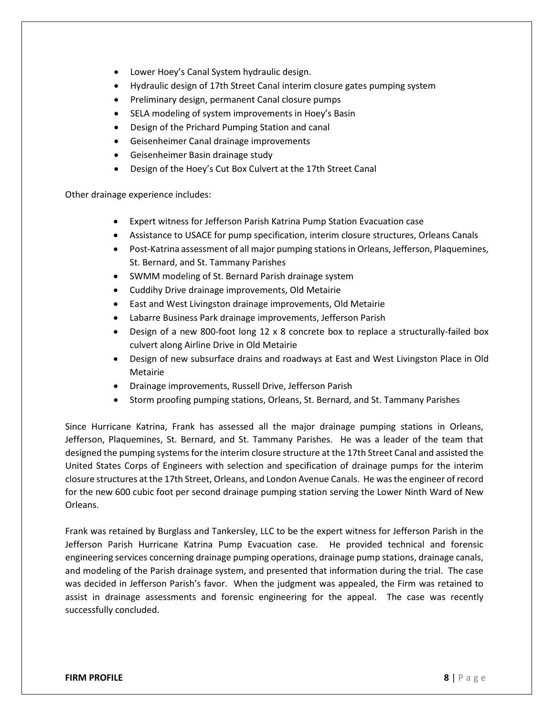- Lower Hoey's Canal System hydraulic design.
- Hydraulic design of 17th Street Canal interim closure gates pumping system
- Preliminary design, permanent Canal closure pumps
- SELA modeling of system improvements in Hoey's Basin
- Design of the Prichard Pumping Station and canal
- Geisenheimer Canal drainage improvements
- Geisenheimer Basin drainage study
- Design of the Hoey's Cut Box Culvert at the 17th Street Canal

Other drainage experience includes:

- Expert witness for Jefferson Parish Katrina Pump Station Evacuation case
- Assistance to USACE for pump specification, interim closure structures, Orleans Canals
- Post-Katrina assessment of all major pumping stations in Orleans, Jefferson, Plaquemines, St. Bernard, and St. Tammany Parishes
- SWMM modeling of St. Bernard Parish drainage system
- Cuddihy Drive drainage improvements, Old Metairie
- East and West Livingston drainage improvements, Old Metairie
- Labarre Business Park drainage improvements, Jefferson Parish
- Design of a new 800-foot long 12 x 8 concrete box to replace a structurally-failed box culvert along Airline Drive in Old Metairie
- Design of new subsurface drains and roadways at East and West Livingston Place in Old Metairie
- Drainage improvements, Russell Drive, Jefferson Parish
- Storm proofing pumping stations, Orleans, St. Bernard, and St. Tammany Parishes

Since Hurricane Katrina, Frank has assessed all the major drainage pumping stations in Orleans, Jefferson, Plaquemines, St. Bernard, and St. Tammany Parishes. He was a leader of the team that designed the pumping systems for the interim closure structure at the 17th Street Canal and assisted the United States Corps of Engineers with selection and specification of drainage pumps for the interim closure structures at the 17th Street, Orleans, and London Avenue Canals. He was the engineer of record for the new 600 cubic foot per second drainage pumping station serving the Lower Ninth Ward of New Orleans.

Frank was retained by Burglass and Tankersley, LLC to be the expert witness for Jefferson Parish in the Jefferson Parish Hurricane Katrina Pump Evacuation case. He provided technical and forensic engineering services concerning drainage pumping operations, drainage pump stations, drainage canals, and modeling of the Parish drainage system, and presented that information during the trial. The case was decided in Jefferson Parish's favor. When the judgment was appealed, the Firm was retained to assist in drainage assessments and forensic engineering for the appeal. The case was recently successfully concluded.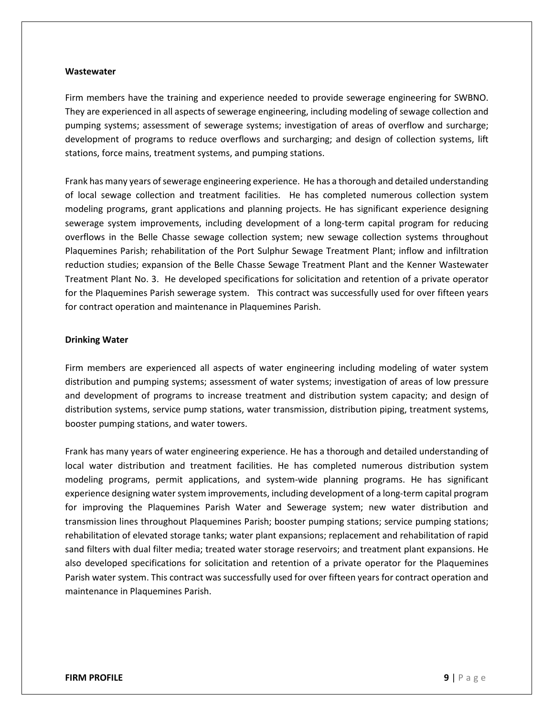#### **Wastewater**

Firm members have the training and experience needed to provide sewerage engineering for SWBNO. They are experienced in all aspects of sewerage engineering, including modeling of sewage collection and pumping systems; assessment of sewerage systems; investigation of areas of overflow and surcharge; development of programs to reduce overflows and surcharging; and design of collection systems, lift stations, force mains, treatment systems, and pumping stations.

Frank has many years of sewerage engineering experience. He has a thorough and detailed understanding of local sewage collection and treatment facilities. He has completed numerous collection system modeling programs, grant applications and planning projects. He has significant experience designing sewerage system improvements, including development of a long-term capital program for reducing overflows in the Belle Chasse sewage collection system; new sewage collection systems throughout Plaquemines Parish; rehabilitation of the Port Sulphur Sewage Treatment Plant; inflow and infiltration reduction studies; expansion of the Belle Chasse Sewage Treatment Plant and the Kenner Wastewater Treatment Plant No. 3. He developed specifications for solicitation and retention of a private operator for the Plaquemines Parish sewerage system. This contract was successfully used for over fifteen years for contract operation and maintenance in Plaquemines Parish.

### **Drinking Water**

Firm members are experienced all aspects of water engineering including modeling of water system distribution and pumping systems; assessment of water systems; investigation of areas of low pressure and development of programs to increase treatment and distribution system capacity; and design of distribution systems, service pump stations, water transmission, distribution piping, treatment systems, booster pumping stations, and water towers.

Frank has many years of water engineering experience. He has a thorough and detailed understanding of local water distribution and treatment facilities. He has completed numerous distribution system modeling programs, permit applications, and system-wide planning programs. He has significant experience designing water system improvements, including development of a long-term capital program for improving the Plaquemines Parish Water and Sewerage system; new water distribution and transmission lines throughout Plaquemines Parish; booster pumping stations; service pumping stations; rehabilitation of elevated storage tanks; water plant expansions; replacement and rehabilitation of rapid sand filters with dual filter media; treated water storage reservoirs; and treatment plant expansions. He also developed specifications for solicitation and retention of a private operator for the Plaquemines Parish water system. This contract was successfully used for over fifteen years for contract operation and maintenance in Plaquemines Parish.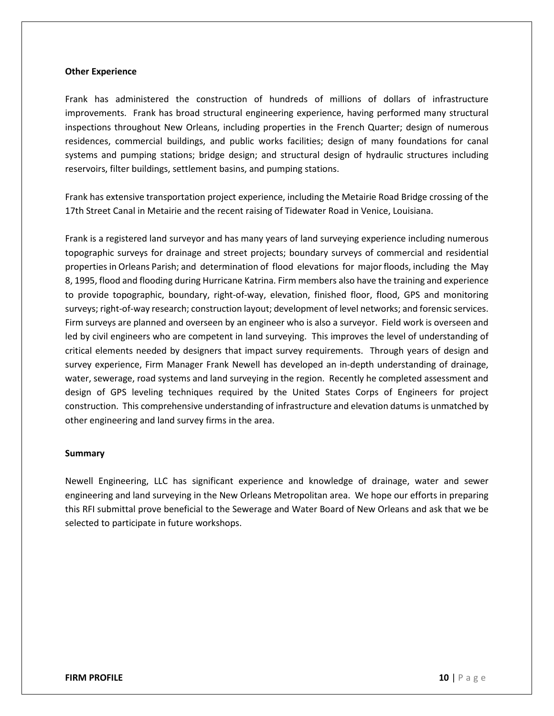#### **Other Experience**

Frank has administered the construction of hundreds of millions of dollars of infrastructure improvements. Frank has broad structural engineering experience, having performed many structural inspections throughout New Orleans, including properties in the French Quarter; design of numerous residences, commercial buildings, and public works facilities; design of many foundations for canal systems and pumping stations; bridge design; and structural design of hydraulic structures including reservoirs, filter buildings, settlement basins, and pumping stations.

Frank has extensive transportation project experience, including the Metairie Road Bridge crossing of the 17th Street Canal in Metairie and the recent raising of Tidewater Road in Venice, Louisiana.

Frank is a registered land surveyor and has many years of land surveying experience including numerous topographic surveys for drainage and street projects; boundary surveys of commercial and residential properties in Orleans Parish; and determination of flood elevations for major floods, including the May 8, 1995, flood and flooding during Hurricane Katrina. Firm members also have the training and experience to provide topographic, boundary, right-of-way, elevation, finished floor, flood, GPS and monitoring surveys; right-of-way research; construction layout; development of level networks; and forensic services. Firm surveys are planned and overseen by an engineer who is also a surveyor. Field work is overseen and led by civil engineers who are competent in land surveying. This improves the level of understanding of critical elements needed by designers that impact survey requirements. Through years of design and survey experience, Firm Manager Frank Newell has developed an in-depth understanding of drainage, water, sewerage, road systems and land surveying in the region. Recently he completed assessment and design of GPS leveling techniques required by the United States Corps of Engineers for project construction. This comprehensive understanding of infrastructure and elevation datums is unmatched by other engineering and land survey firms in the area.

#### **Summary**

Newell Engineering, LLC has significant experience and knowledge of drainage, water and sewer engineering and land surveying in the New Orleans Metropolitan area. We hope our efforts in preparing this RFI submittal prove beneficial to the Sewerage and Water Board of New Orleans and ask that we be selected to participate in future workshops.